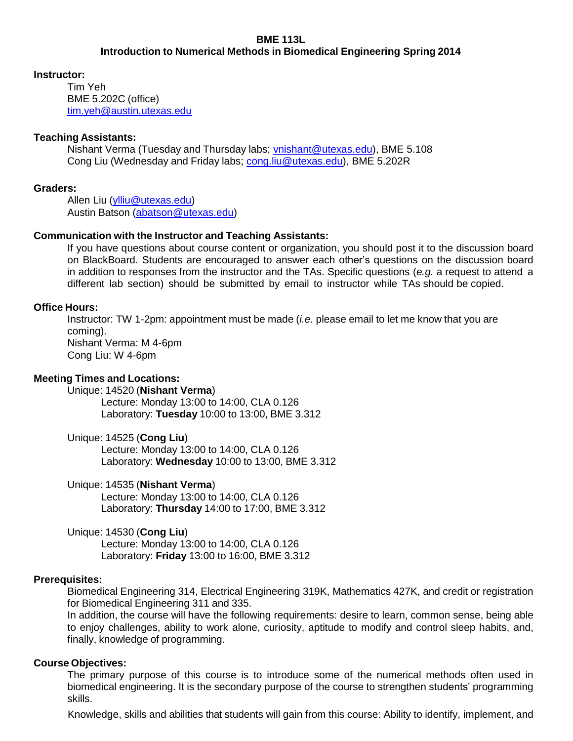# **BME 113L**

**Introduction to Numerical Methods in Biomedical Engineering Spring 2014**

### **Instructor:**

Tim Yeh BME 5.202C (office) [tim.yeh@austin.utexas.edu](mailto:tim.yeh@austin.utexas.edu)

# **Teaching Assistants:**

Nishant Verma (Tuesday and Thursday labs; [vnishant@utexas.edu\)](mailto:vnishant@utexas.edu), BME 5.108 Cong Liu (Wednesday and Friday labs; [cong.liu@utexas.edu\)](mailto:cong.liu@utexas.edu), BME 5.202R

### **Graders:**

Allen Liu [\(ylliu@utexas.edu\)](mailto:ylliu@utexas.edu) Austin Batson [\(abatson@utexas.edu\)](mailto:abatson@utexas.edu)

### **Communication with the Instructor and Teaching Assistants:**

If you have questions about course content or organization, you should post it to the discussion board on BlackBoard. Students are encouraged to answer each other's questions on the discussion board in addition to responses from the instructor and the TAs. Specific questions (*e.g.* a request to attend a different lab section) should be submitted by email to instructor while TAs should be copied.

### **Office Hours:**

Instructor: TW 1-2pm: appointment must be made (*i.e.* please email to let me know that you are coming). Nishant Verma: M 4-6pm Cong Liu: W 4-6pm

#### **Meeting Times and Locations:**

Unique: 14520 (**Nishant Verma**) Lecture: Monday 13:00 to 14:00, CLA 0.126 Laboratory: **Tuesday** 10:00 to 13:00, BME 3.312

Unique: 14525 (**Cong Liu**)

Lecture: Monday 13:00 to 14:00, CLA 0.126 Laboratory: **Wednesday** 10:00 to 13:00, BME 3.312

#### Unique: 14535 (**Nishant Verma**)

Lecture: Monday 13:00 to 14:00, CLA 0.126 Laboratory: **Thursday** 14:00 to 17:00, BME 3.312

Unique: 14530 (**Cong Liu**)

Lecture: Monday 13:00 to 14:00, CLA 0.126 Laboratory: **Friday** 13:00 to 16:00, BME 3.312

#### **Prerequisites:**

Biomedical Engineering 314, Electrical Engineering 319K, Mathematics 427K, and credit or registration for Biomedical Engineering 311 and 335.

In addition, the course will have the following requirements: desire to learn, common sense, being able to enjoy challenges, ability to work alone, curiosity, aptitude to modify and control sleep habits, and, finally, knowledge of programming.

#### **Course Objectives:**

The primary purpose of this course is to introduce some of the numerical methods often used in biomedical engineering. It is the secondary purpose of the course to strengthen students' programming skills.

Knowledge, skills and abilities that students will gain from this course: Ability to identify, implement, and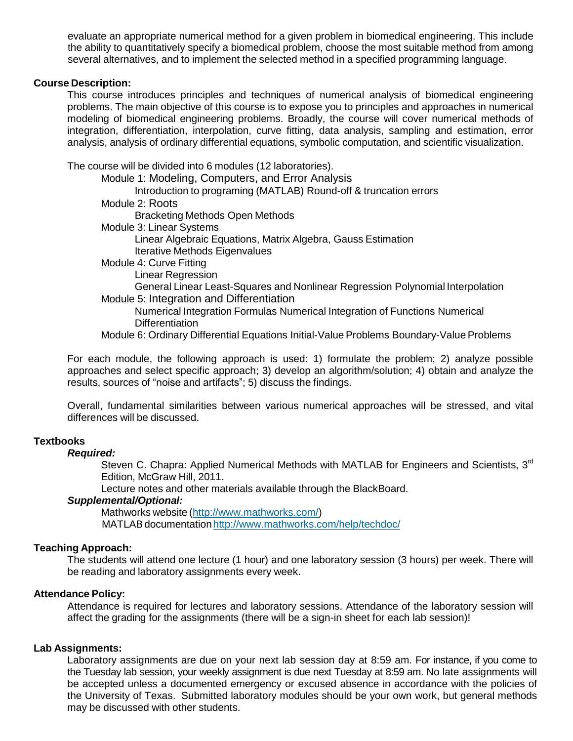evaluate an appropriate numerical method for a given problem in biomedical engineering. This include the ability to quantitatively specify a biomedical problem, choose the most suitable method from among several alternatives, and to implement the selected method in a specified programming language.

#### **Course Description:**

This course introduces principles and techniques of numerical analysis of biomedical engineering problems. The main objective of this course is to expose you to principles and approaches in numerical modeling of biomedical engineering problems. Broadly, the course will cover numerical methods of integration, differentiation, interpolation, curve fitting, data analysis, sampling and estimation, error analysis, analysis of ordinary differential equations, symbolic computation, and scientific visualization.

The course will be divided into 6 modules (12 laboratories).

Module 1: Modeling, Computers, and Error Analysis Introduction to programing (MATLAB) Round-off & truncation errors Module 2: Roots Bracketing Methods Open Methods Module 3: Linear Systems Linear Algebraic Equations, Matrix Algebra, Gauss Estimation Iterative Methods Eigenvalues Module 4: Curve Fitting Linear Regression

General Linear Least-Squares and Nonlinear Regression Polynomial Interpolation Module 5: Integration and Differentiation

Numerical Integration Formulas Numerical Integration of Functions Numerical **Differentiation** 

Module 6: Ordinary Differential Equations Initial-Value Problems Boundary-Value Problems

For each module, the following approach is used: 1) formulate the problem; 2) analyze possible approaches and select specific approach; 3) develop an algorithm/solution; 4) obtain and analyze the results, sources of "noise and artifacts"; 5) discuss the findings.

Overall, fundamental similarities between various numerical approaches will be stressed, and vital differences will be discussed.

#### **Textbooks**

# *Required:*

Steven C. Chapra: Applied Numerical Methods with MATLAB for Engineers and Scientists, 3<sup>rd</sup> Edition, McGraw Hill, 2011.

Lecture notes and other materials available through the BlackBoard.

# *Supplemental/Optional:*

Mathworks website [\(http://www.mathworks.com/\)](http://www.mathworks.com/)) MATLAB documentation http://www.mathworks.com/help/techdoc/

#### **Teaching Approach:**

The students will attend one lecture (1 hour) and one laboratory session (3 hours) per week. There will be reading and laboratory assignments every week.

#### **Attendance Policy:**

Attendance is required for lectures and laboratory sessions. Attendance of the laboratory session will affect the grading for the assignments (there will be a sign-in sheet for each lab session)!

#### **Lab Assignments:**

Laboratory assignments are due on your next lab session day at 8:59 am. For instance, if you come to the Tuesday lab session, your weekly assignment is due next Tuesday at 8:59 am. No late assignments will be accepted unless a documented emergency or excused absence in accordance with the policies of the University of Texas. Submitted laboratory modules should be your own work, but general methods may be discussed with other students.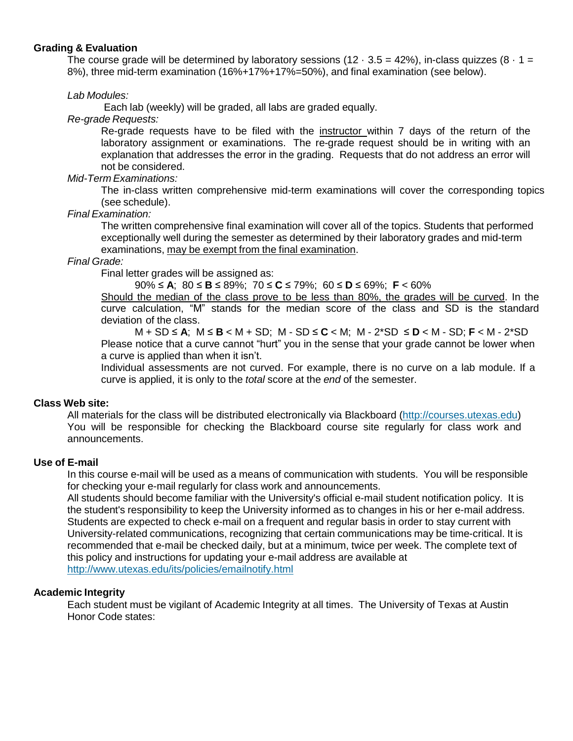### **Grading & Evaluation**

The course grade will be determined by laboratory sessions (12  $\cdot$  3.5 = 42%), in-class quizzes (8  $\cdot$  1 = 8%), three mid-term examination (16%+17%+17%=50%), and final examination (see below).

### *Lab Modules:*

Each lab (weekly) will be graded, all labs are graded equally.

*Re-grade Requests:*

Re-grade requests have to be filed with the instructor within 7 days of the return of the laboratory assignment or examinations. The re-grade request should be in writing with an explanation that addresses the error in the grading. Requests that do not address an error will not be considered.

### *Mid-Term Examinations:*

The in-class written comprehensive mid-term examinations will cover the corresponding topics (see schedule).

# *Final Examination:*

The written comprehensive final examination will cover all of the topics. Students that performed exceptionally well during the semester as determined by their laboratory grades and mid-term examinations, may be exempt from the final examination.

### *Final Grade:*

Final letter grades will be assigned as:

90% ≤ **A**; 80 ≤ **B** ≤ 89%; 70 ≤ **C** ≤ 79%; 60 ≤ **D** ≤ 69%; **F** < 60%

Should the median of the class prove to be less than 80%, the grades will be curved. In the curve calculation, "M" stands for the median score of the class and SD is the standard deviation of the class.

M + SD ≤ **A**; M ≤ **B** < M + SD; M - SD ≤ **C** < M; M - 2\*SD ≤ **D** < M - SD; **F** < M - 2\*SD Please notice that a curve cannot "hurt" you in the sense that your grade cannot be lower when a curve is applied than when it isn't.

Individual assessments are not curved. For example, there is no curve on a lab module. If a curve is applied, it is only to the *total* score at the *end* of the semester.

# **Class Web site:**

All materials for the class will be distributed electronically via Blackboard (http://courses.utexas.edu) You will be responsible for checking the Blackboard course site regularly for class work and announcements.

#### **Use of E-mail**

In this course e-mail will be used as a means of communication with students. You will be responsible for checking your e-mail regularly for class work and announcements.

All students should become familiar with the University's official e-mail student notification policy. It is the student's responsibility to keep the University informed as to changes in his or her e-mail address. Students are expected to check e-mail on a frequent and regular basis in order to stay current with University-related communications, recognizing that certain communications may be time-critical. It is recommended that e-mail be checked daily, but at a minimum, twice per week. The complete text of this policy and instructions for updating your e-mail address are available at <http://www.utexas.edu/its/policies/emailnotify.html>

#### **Academic Integrity**

Each student must be vigilant of Academic Integrity at all times. The University of Texas at Austin Honor Code states: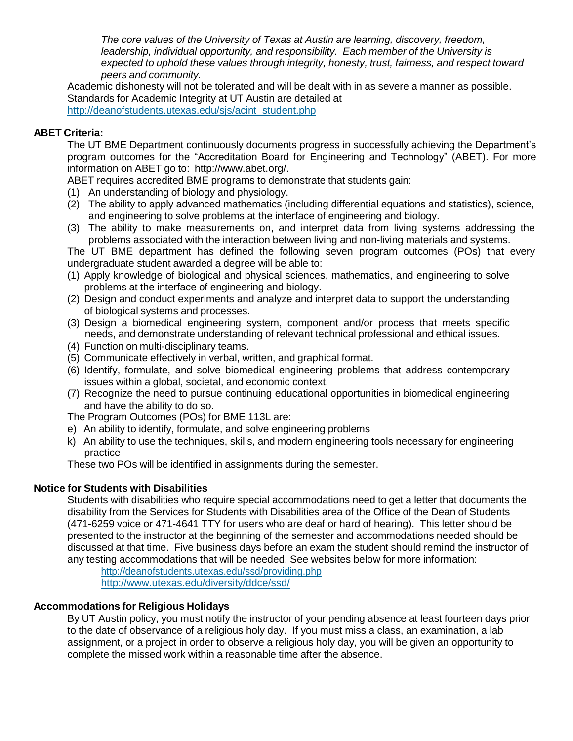*The core values of the University of Texas at Austin are learning, discovery, freedom, leadership, individual opportunity, and responsibility. Each member of the University is expected to uphold these values through integrity, honesty, trust, fairness, and respect toward peers and community.*

Academic dishonesty will not be tolerated and will be dealt with in as severe a manner as possible. Standards for Academic Integrity at UT Austin are detailed at [http://deanofstudents.utexas.edu/sjs/acint\\_student.php](http://deanofstudents.utexas.edu/sjs/acint_student.php)

# **ABET Criteria:**

The UT BME Department continuously documents progress in successfully achieving the Department's program outcomes for the "Accreditation Board for Engineering and Technology" (ABET). For more information on ABET go to: [http://www.abet.org/.](http://www.abet.org/)

ABET requires accredited BME programs to demonstrate that students gain:

- (1) An understanding of biology and physiology.
- (2) The ability to apply advanced mathematics (including differential equations and statistics), science, and engineering to solve problems at the interface of engineering and biology.
- (3) The ability to make measurements on, and interpret data from living systems addressing the problems associated with the interaction between living and non-living materials and systems.

The UT BME department has defined the following seven program outcomes (POs) that every undergraduate student awarded a degree will be able to:

- (1) Apply knowledge of biological and physical sciences, mathematics, and engineering to solve problems at the interface of engineering and biology.
- (2) Design and conduct experiments and analyze and interpret data to support the understanding of biological systems and processes.
- (3) Design a biomedical engineering system, component and/or process that meets specific needs, and demonstrate understanding of relevant technical professional and ethical issues.
- (4) Function on multi-disciplinary teams.
- (5) Communicate effectively in verbal, written, and graphical format.
- (6) Identify, formulate, and solve biomedical engineering problems that address contemporary issues within a global, societal, and economic context.
- (7) Recognize the need to pursue continuing educational opportunities in biomedical engineering and have the ability to do so.

The Program Outcomes (POs) for BME 113L are:

- e) An ability to identify, formulate, and solve engineering problems
- k) An ability to use the techniques, skills, and modern engineering tools necessary for engineering practice

These two POs will be identified in assignments during the semester.

# **Notice for Students with Disabilities**

Students with disabilities who require special accommodations need to get a letter that documents the disability from the Services for Students with Disabilities area of the Office of the Dean of Students (471-6259 voice or 471-4641 TTY for users who are deaf or hard of hearing). This letter should be presented to the instructor at the beginning of the semester and accommodations needed should be discussed at that time. Five business days before an exam the student should remind the instructor of any testing accommodations that will be needed. See websites below for more information:

<http://deanofstudents.utexas.edu/ssd/providing.php> <http://www.utexas.edu/diversity/ddce/ssd/>

# **Accommodations for Religious Holidays**

By UT Austin policy, you must notify the instructor of your pending absence at least fourteen days prior to the date of observance of a religious holy day. If you must miss a class, an examination, a lab assignment, or a project in order to observe a religious holy day, you will be given an opportunity to complete the missed work within a reasonable time after the absence.